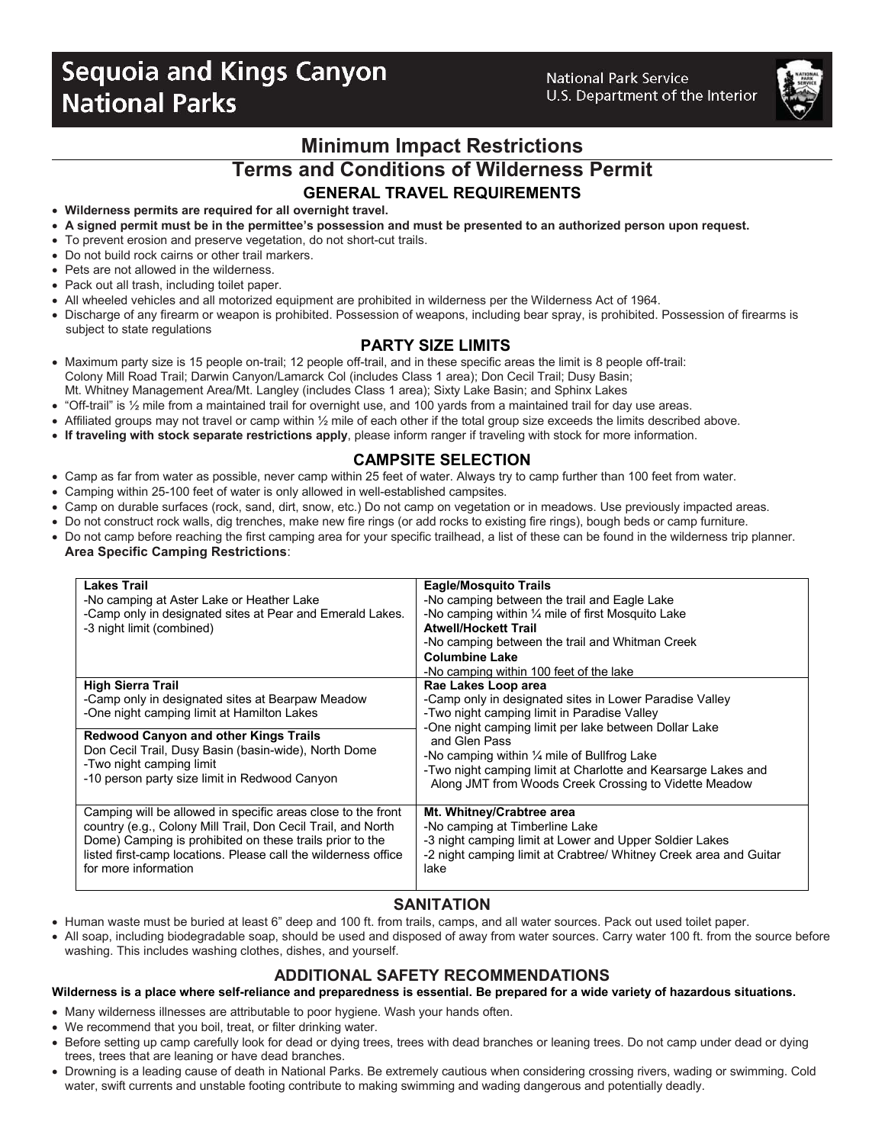# **Sequoia and Kings Canyon National Parks**

**National Park Service** U.S. Department of the Interior



**Minimum Impact Restrictions**

**Terms and Conditions of Wilderness Permit**

# **GENERAL TRAVEL REQUIREMENTS**

- **Wilderness permits are required for all overnight travel.**
- **A signed permit must be in the permittee's possession and must be presented to an authorized person upon request.**
- To prevent erosion and preserve vegetation, do not short-cut trails.
- Do not build rock cairns or other trail markers.
- Pets are not allowed in the wilderness.
- Pack out all trash, including toilet paper.
- All wheeled vehicles and all motorized equipment are prohibited in wilderness per the Wilderness Act of 1964.
- Discharge of any firearm or weapon is prohibited. Possession of weapons, including bear spray, is prohibited. Possession of firearms is subject to state regulations

## **PARTY SIZE LIMITS**

- Maximum party size is 15 people on-trail; 12 people off-trail, and in these specific areas the limit is 8 people off-trail: Colony Mill Road Trail; Darwin Canyon/Lamarck Col (includes Class 1 area); Don Cecil Trail; Dusy Basin; Mt. Whitney Management Area/Mt. Langley (includes Class 1 area); Sixty Lake Basin; and Sphinx Lakes
- "Off-trail" is ½ mile from a maintained trail for overnight use, and 100 yards from a maintained trail for day use areas.
- Affiliated groups may not travel or camp within 1/2 mile of each other if the total group size exceeds the limits described above.
- **If traveling with stock separate restrictions apply**, please inform ranger if traveling with stock for more information.

## **CAMPSITE SELECTION**

- Camp as far from water as possible, never camp within 25 feet of water. Always try to camp further than 100 feet from water.
- Camping within 25-100 feet of water is only allowed in well-established campsites.
- Camp on durable surfaces (rock, sand, dirt, snow, etc.) Do not camp on vegetation or in meadows. Use previously impacted areas.
- Do not construct rock walls, dig trenches, make new fire rings (or add rocks to existing fire rings), bough beds or camp furniture.
- Do not camp before reaching the first camping area for your specific trailhead, a list of these can be found in the wilderness trip planner. **Area Specific Camping Restrictions**:

| <b>Lakes Trail</b>                                             | <b>Eagle/Mosquito Trails</b>                                      |  |  |
|----------------------------------------------------------------|-------------------------------------------------------------------|--|--|
| -No camping at Aster Lake or Heather Lake                      | -No camping between the trail and Eagle Lake                      |  |  |
| -Camp only in designated sites at Pear and Emerald Lakes.      | -No camping within $\frac{1}{4}$ mile of first Mosquito Lake      |  |  |
| -3 night limit (combined)                                      | <b>Atwell/Hockett Trail</b>                                       |  |  |
|                                                                | -No camping between the trail and Whitman Creek                   |  |  |
|                                                                | <b>Columbine Lake</b>                                             |  |  |
|                                                                | -No camping within 100 feet of the lake                           |  |  |
| <b>High Sierra Trail</b>                                       | Rae Lakes Loop area                                               |  |  |
| -Camp only in designated sites at Bearpaw Meadow               | -Camp only in designated sites in Lower Paradise Valley           |  |  |
| -One night camping limit at Hamilton Lakes                     | -Two night camping limit in Paradise Valley                       |  |  |
|                                                                | -One night camping limit per lake between Dollar Lake             |  |  |
| <b>Redwood Canyon and other Kings Trails</b>                   | and Glen Pass                                                     |  |  |
| Don Cecil Trail, Dusy Basin (basin-wide), North Dome           | -No camping within $\frac{1}{4}$ mile of Bullfrog Lake            |  |  |
| -Two night camping limit                                       | -Two night camping limit at Charlotte and Kearsarge Lakes and     |  |  |
| -10 person party size limit in Redwood Canyon                  |                                                                   |  |  |
|                                                                | Along JMT from Woods Creek Crossing to Vidette Meadow             |  |  |
|                                                                |                                                                   |  |  |
| Camping will be allowed in specific areas close to the front   | Mt. Whitney/Crabtree area                                         |  |  |
| country (e.g., Colony Mill Trail, Don Cecil Trail, and North   | -No camping at Timberline Lake                                    |  |  |
| Dome) Camping is prohibited on these trails prior to the       | -3 night camping limit at Lower and Upper Soldier Lakes           |  |  |
| listed first-camp locations. Please call the wilderness office | -2 night camping limit at Crabtree/ Whitney Creek area and Guitar |  |  |
| for more information                                           | lake                                                              |  |  |
|                                                                |                                                                   |  |  |

# **SANITATION**

- Human waste must be buried at least 6" deep and 100 ft. from trails, camps, and all water sources. Pack out used toilet paper.
- All soap, including biodegradable soap, should be used and disposed of away from water sources. Carry water 100 ft. from the source before washing. This includes washing clothes, dishes, and yourself.

# **ADDITIONAL SAFETY RECOMMENDATIONS**

#### **Wilderness is a place where self-reliance and preparedness is essential. Be prepared for a wide variety of hazardous situations.**

- Many wilderness illnesses are attributable to poor hygiene. Wash your hands often.
- We recommend that you boil, treat, or filter drinking water.
- Before setting up camp carefully look for dead or dying trees, trees with dead branches or leaning trees. Do not camp under dead or dying trees, trees that are leaning or have dead branches.
- Drowning is a leading cause of death in National Parks. Be extremely cautious when considering crossing rivers, wading or swimming. Cold water, swift currents and unstable footing contribute to making swimming and wading dangerous and potentially deadly.